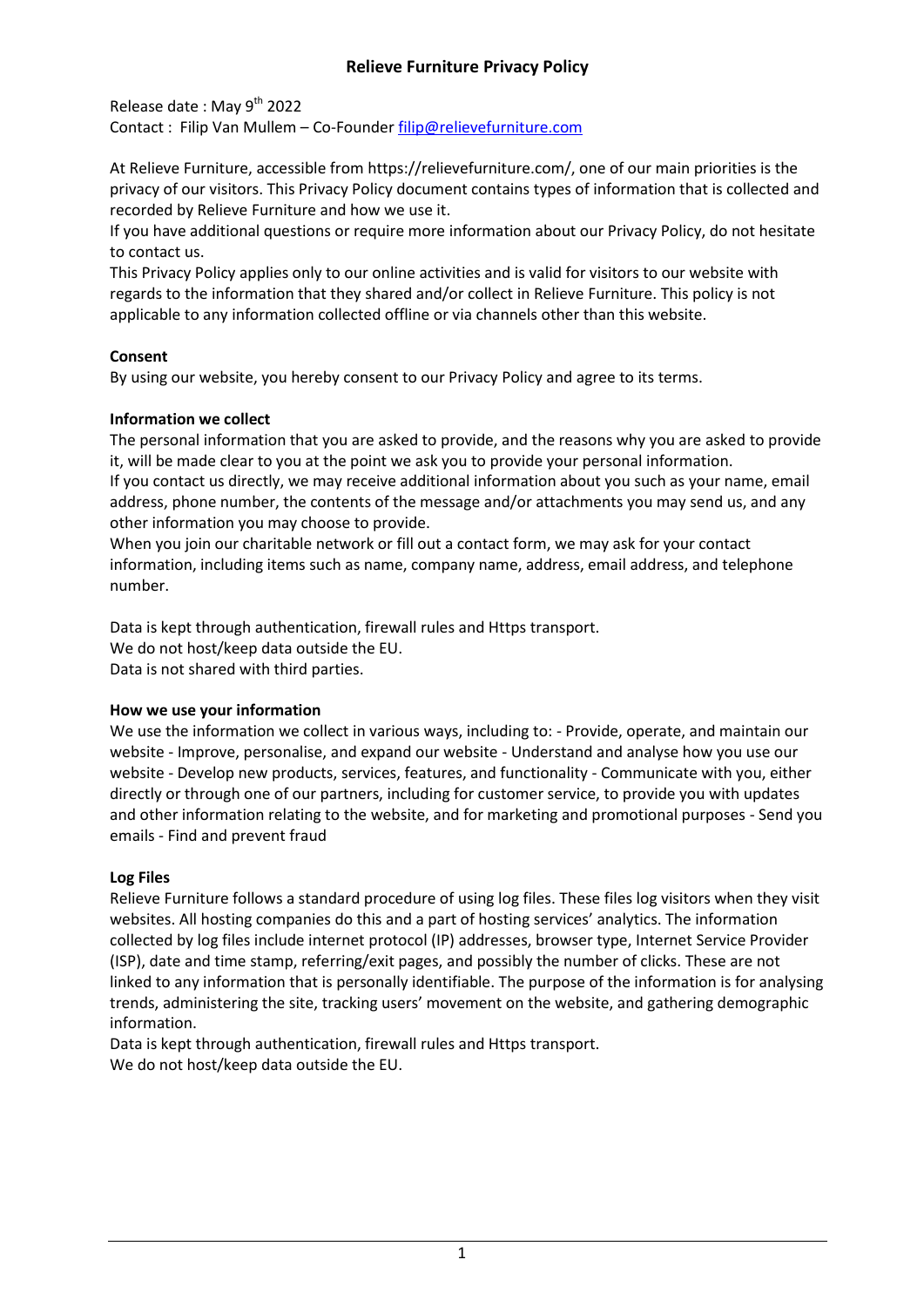# **Relieve Furniture Privacy Policy**

Release date: May 9<sup>th</sup> 2022 Contact : Filip Van Mullem – Co-Founde[r filip@relievefurniture.com](mailto:filip@relievefurniture.com)

At Relieve Furniture, accessible from https://relievefurniture.com/, one of our main priorities is the privacy of our visitors. This Privacy Policy document contains types of information that is collected and recorded by Relieve Furniture and how we use it.

If you have additional questions or require more information about our Privacy Policy, do not hesitate to contact us.

This Privacy Policy applies only to our online activities and is valid for visitors to our website with regards to the information that they shared and/or collect in Relieve Furniture. This policy is not applicable to any information collected offline or via channels other than this website.

## **Consent**

By using our website, you hereby consent to our Privacy Policy and agree to its terms.

#### **Information we collect**

The personal information that you are asked to provide, and the reasons why you are asked to provide it, will be made clear to you at the point we ask you to provide your personal information. If you contact us directly, we may receive additional information about you such as your name, email address, phone number, the contents of the message and/or attachments you may send us, and any other information you may choose to provide.

When you join our charitable network or fill out a contact form, we may ask for your contact information, including items such as name, company name, address, email address, and telephone number.

Data is kept through authentication, firewall rules and Https transport. We do not host/keep data outside the EU. Data is not shared with third parties.

#### **How we use your information**

We use the information we collect in various ways, including to: - Provide, operate, and maintain our website - Improve, personalise, and expand our website - Understand and analyse how you use our website - Develop new products, services, features, and functionality - Communicate with you, either directly or through one of our partners, including for customer service, to provide you with updates and other information relating to the website, and for marketing and promotional purposes - Send you emails - Find and prevent fraud

## **Log Files**

Relieve Furniture follows a standard procedure of using log files. These files log visitors when they visit websites. All hosting companies do this and a part of hosting services' analytics. The information collected by log files include internet protocol (IP) addresses, browser type, Internet Service Provider (ISP), date and time stamp, referring/exit pages, and possibly the number of clicks. These are not linked to any information that is personally identifiable. The purpose of the information is for analysing trends, administering the site, tracking users' movement on the website, and gathering demographic information.

Data is kept through authentication, firewall rules and Https transport. We do not host/keep data outside the EU.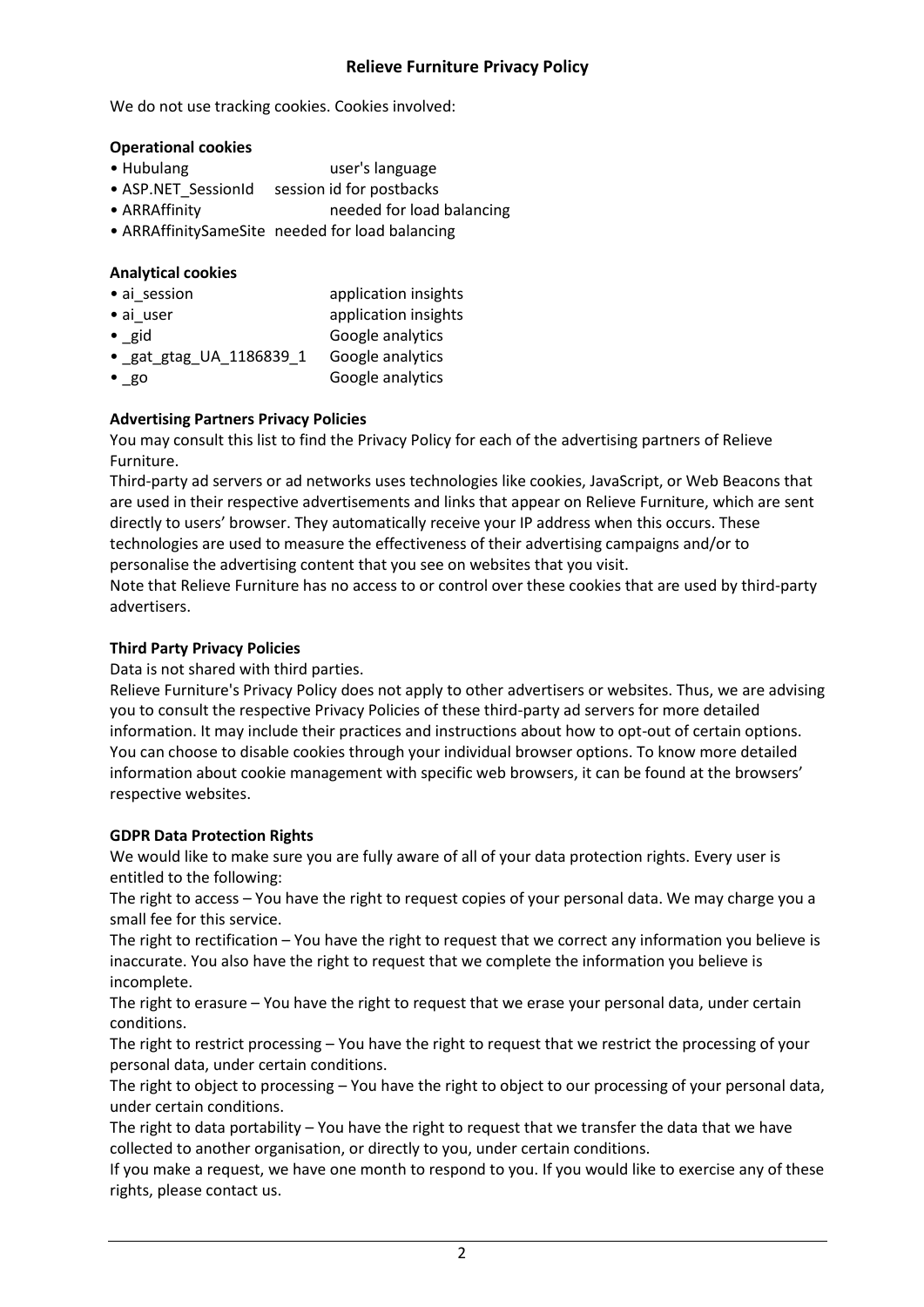# **Relieve Furniture Privacy Policy**

We do not use tracking cookies. Cookies involved:

### **Operational cookies**

- Hubulang user's language
- ASP.NET\_SessionId session id for postbacks
- ARRAffinity needed for load balancing
- ARRAffinitySameSite needed for load balancing

### **Analytical cookies**

- ai\_session application insights • ai user application insights • gid Google analytics
- \_gat\_gtag\_UA\_1186839\_1 Google analytics
- go Google analytics

# **Advertising Partners Privacy Policies**

You may consult this list to find the Privacy Policy for each of the advertising partners of Relieve Furniture.

Third-party ad servers or ad networks uses technologies like cookies, JavaScript, or Web Beacons that are used in their respective advertisements and links that appear on Relieve Furniture, which are sent directly to users' browser. They automatically receive your IP address when this occurs. These technologies are used to measure the effectiveness of their advertising campaigns and/or to personalise the advertising content that you see on websites that you visit.

Note that Relieve Furniture has no access to or control over these cookies that are used by third-party advertisers.

## **Third Party Privacy Policies**

Data is not shared with third parties.

Relieve Furniture's Privacy Policy does not apply to other advertisers or websites. Thus, we are advising you to consult the respective Privacy Policies of these third-party ad servers for more detailed information. It may include their practices and instructions about how to opt-out of certain options. You can choose to disable cookies through your individual browser options. To know more detailed information about cookie management with specific web browsers, it can be found at the browsers' respective websites.

## **GDPR Data Protection Rights**

We would like to make sure you are fully aware of all of your data protection rights. Every user is entitled to the following:

The right to access – You have the right to request copies of your personal data. We may charge you a small fee for this service.

The right to rectification – You have the right to request that we correct any information you believe is inaccurate. You also have the right to request that we complete the information you believe is incomplete.

The right to erasure – You have the right to request that we erase your personal data, under certain conditions.

The right to restrict processing – You have the right to request that we restrict the processing of your personal data, under certain conditions.

The right to object to processing – You have the right to object to our processing of your personal data, under certain conditions.

The right to data portability – You have the right to request that we transfer the data that we have collected to another organisation, or directly to you, under certain conditions.

If you make a request, we have one month to respond to you. If you would like to exercise any of these rights, please contact us.